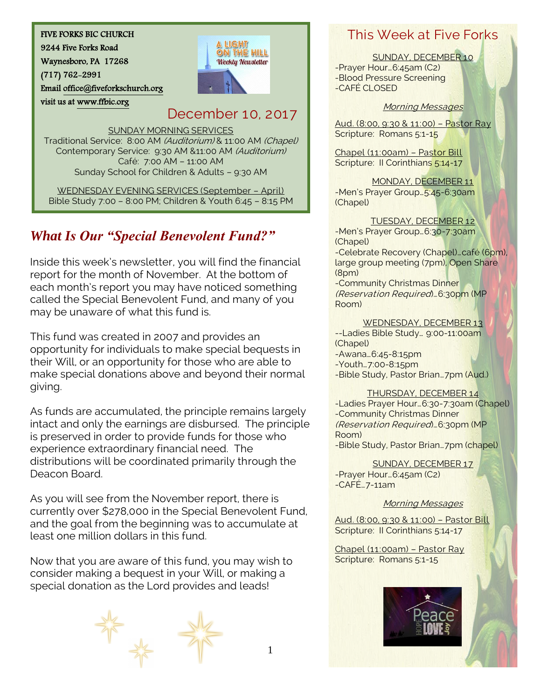#### FIVE FORKS BIC CHURCH

9244 Five Forks Road

Waynesboro, PA 17268

(717) 762-2991

visit us at [www.ffbic.org](http://www.ffbic.org/) 

Emai[l office@fiveforkschurch.org](mailto:office@fiveforkschurch.org) 

## December 10, 2017

SUNDAY MORNING SERVICES

Traditional Service: 8:00 AM (Auditorium) & 11:00 AM (Chapel) Contemporary Service: 9:30 AM &11:00 AM (Auditorium) Café: 7:00 AM – 11:00 AM Sunday School for Children & Adults – 9:30 AM

WEDNESDAY EVENING SERVICES (September – April) Bible Study 7:00 – 8:00 PM; Children & Youth 6:45 – 8:15 PM

# *What Is Our "Special Benevolent Fund?"*

Inside this week's newsletter, you will find the financial report for the month of November. At the bottom of each month's report you may have noticed something called the Special Benevolent Fund, and many of you may be unaware of what this fund is.

This fund was created in 2007 and provides an opportunity for individuals to make special bequests in their Will, or an opportunity for those who are able to make special donations above and beyond their normal giving.

As funds are accumulated, the principle remains largely intact and only the earnings are disbursed. The principle is preserved in order to provide funds for those who experience extraordinary financial need. The distributions will be coordinated primarily through the Deacon Board.

As you will see from the November report, there is currently over \$278,000 in the Special Benevolent Fund, and the goal from the beginning was to accumulate at least one million dollars in this fund.

Now that you are aware of this fund, you may wish to consider making a bequest in your Will, or making a special donation as the Lord provides and leads!



## This Week at Five Forks

SUNDAY, DECEMBER 10

-Prayer Hour…6:45am (C2) -Blood Pressure Screening -CAFÉ CLOSED

#### Morning Messages

Aud. (8:00, 9:30 & 11:00) – Pastor Ray Scripture: Romans 5:1-15

Chapel (11:00am) – Pastor Bill Scripture: Il Corinthians 5:14-17

MONDAY, DECEMBER 11 -Men's Prayer Group…5:45-6:30am (Chapel)

TUESDAY, DECEMBER 12 -Men's Prayer Group…6:30-7:30am (Chapel) -Celebrate Recovery (Chapel)…café (6pm), large group meeting (7pm), Open Share (8pm) -Community Christmas Dinner (Reservation Required)…6:30pm (MP Room)

WEDNESDAY, DECEMBER 13

--Ladies Bible Study… 9:00-11:00am (Chapel) -Awana…6:45-8:15pm

-Youth…7:00-8:15pm

-Bible Study, Pastor Brian…7pm (Aud.)

#### THURSDAY, DECEMBER 14

-Ladies Prayer Hour…6:30-7:30am (Chapel) -Community Christmas Dinner (Reservation Required)…6:30pm (MP Room) -Bible Study, Pastor Brian…7pm (chapel)

SUNDAY, DECEMBER 17 -Prayer Hour…6:45am (C2)  $-CAFE<sub>...7</sub> - 11am$ 

### Morning Messages

Aud. (8:00, 9:30 & 11:00) – Pastor Bill Scripture: Il Corinthians 5:14-17

Chapel (11:00am) – Pastor Ray Scripture: Romans 5:1-15

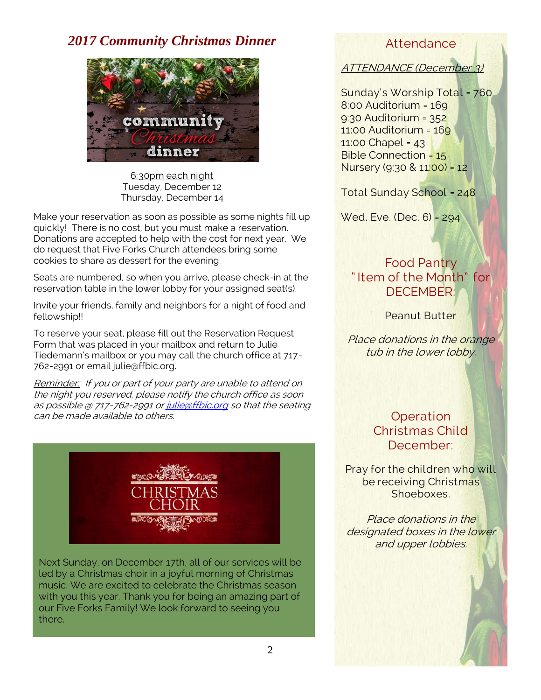## *2017 Community Christmas Dinner*



6:30pm each night Tuesday, December 12 Thursday, December 14

Make your reservation as soon as possible as some nights fill up quickly! There is no cost, but you must make a reservation. Donations are accepted to help with the cost for next year. We do request that Five Forks Church attendees bring some cookies to share as dessert for the evening.

Seats are numbered, so when you arrive, please check-in at the reservation table in the lower lobby for your assigned seat(s).

Invite your friends, family and neighbors for a night of food and fellowship!!

To reserve your seat, please fill out the Reservation Request Form that was placed in your mailbox and return to Julie Tiedemann's mailbox or you may call the church office at 717- 762-2991 or email julie@ffbic.org.

Reminder: If you or part of your party are unable to attend on the night you reserved, please notify the church office as soon as possible @ 717-762-2991 o[r julie@ffbic.org](mailto:julie@ffbic.org) so that the seating can be made available to others.



Next Sunday, on December 17th, all of our services will be led by a Christmas choir in a joyful morning of Christmas music. We are excited to celebrate the Christmas season with you this year. Thank you for being an amazing part of our Five Forks Family! We look forward to seeing you there.

### Attendance

ATTENDANCE (December 3)

Sunday's Worship Total = 760 8:00 Auditorium = 169 9:30 Auditorium = 352 11:00 Auditorium = 169 11:00 Chapel = 43 Bible Connection = 15 Nursery (9:30 & 11:00) = 12

Total Sunday School = 248

Wed. Eve. (Dec. 6) = 294

### Food Pantry " Item of the Month" for DECEMBER:

Peanut Butter

Place donations in the orange tub in the lower lobby.

> **Operation** Christmas Child December:

Pray for the children who will be receiving Christmas Shoeboxes.

Place donations in the designated boxes in the lower and upper lobbies.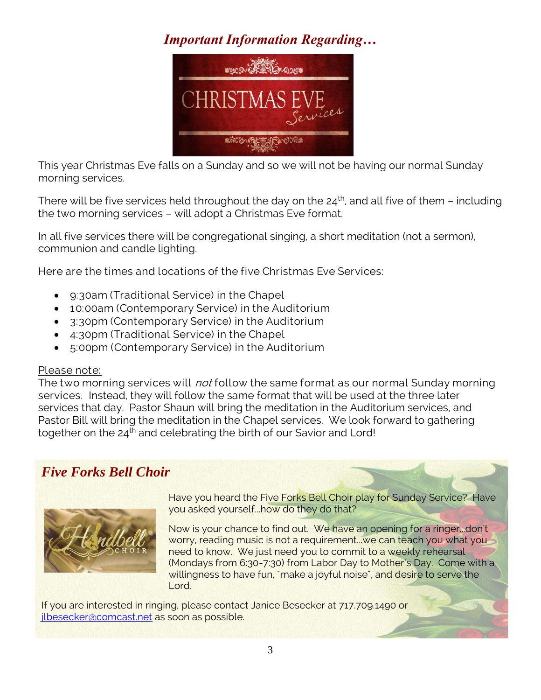# *Important Information Regarding…*



This year Christmas Eve falls on a Sunday and so we will not be having our normal Sunday morning services.

There will be five services held throughout the day on the  $24<sup>th</sup>$ , and all five of them – including the two morning services – will adopt a Christmas Eve format.

In all five services there will be congregational singing, a short meditation (not a sermon), communion and candle lighting.

Here are the times and locations of the five Christmas Eve Services:

- 9:30am (Traditional Service) in the Chapel
- 10:00am (Contemporary Service) in the Auditorium
- 3:30pm (Contemporary Service) in the Auditorium
- 4:30pm (Traditional Service) in the Chapel
- 5:00pm (Contemporary Service) in the Auditorium

### Please note:

The two morning services will *not* follow the same format as our normal Sunday morning services. Instead, they will follow the same format that will be used at the three later services that day. Pastor Shaun will bring the meditation in the Auditorium services, and Pastor Bill will bring the meditation in the Chapel services. We look forward to gathering together on the 24<sup>th</sup> and celebrating the birth of our Savior and Lord!

# *Five Forks Bell Choir*



Have you heard the Five Forks Bell Choir play for Sunday Service? Have you asked yourself...how do they do that?

Now is your chance to find out. We have an opening for a ringer...don't worry, reading music is not a requirement...we can teach you what you need to know. We just need you to commit to a weekly rehearsal (Mondays from 6:30-7:30) from Labor Day to Mother's Day. Come with a willingness to have fun, "make a joyful noise", and desire to serve the Lord.

If you are interested in ringing, please contact Janice Besecker at 717.709.1490 or [jlbesecker@comcast.net](mailto:jlbesecker@comcast.net) as soon as possible.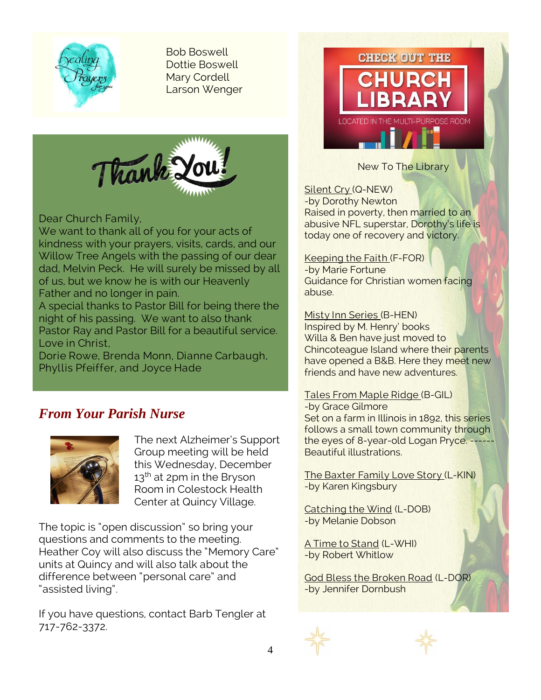

Bob Boswell Dottie Boswell Mary Cordell Larson Wenger



Dear Church Family,

We want to thank all of you for your acts of kindness with your prayers, visits, cards, and our Willow Tree Angels with the passing of our dear dad, Melvin Peck. He will surely be missed by all of us, but we know he is with our Heavenly Father and no longer in pain.

A special thanks to Pastor Bill for being there the night of his passing. We want to also thank Pastor Ray and Pastor Bill for a beautiful service. Love in Christ,

Dorie Rowe, Brenda Monn, Dianne Carbaugh, Phyllis Pfeiffer, and Joyce Hade

## *From Your Parish Nurse*



The next Alzheimer's Support Group meeting will be held this Wednesday, December  $13<sup>th</sup>$  at 2pm in the Bryson Room in Colestock Health Center at Quincy Village.

The topic is "open discussion" so bring your questions and comments to the meeting. Heather Coy will also discuss the "Memory Care" units at Quincy and will also talk about the difference between "personal care" and "assisted living".

If you have questions, contact Barb Tengler at 717-762-3372.



New To The Library

Silent Cry (Q-NEW) -by Dorothy Newton Raised in poverty, then married to an abusive NFL superstar, Dorothy's life is today one of recovery and victory.

Keeping the Faith (F-FOR) -by Marie Fortune

Guidance for Christian women facing abuse.

Misty Inn Series (B-HEN) Inspired by M. Henry' books Willa & Ben have just moved to Chincoteague Island where their parents have opened a B&B. Here they meet new friends and have new adventures.

### Tales From Maple Ridge (B-GIL)

-by Grace Gilmore Set on a farm in Illinois in 1892, this series follows a small town community through the eyes of 8-year-old Logan Pryce. ---Beautiful illustrations.

The Baxter Family Love Story (L-KIN) -by Karen Kingsbury

Catching the Wind (L-DOB) -by Melanie Dobson

A Time to Stand (L-WHI) -by Robert Whitlow

God Bless the Broken Road (L-DOR) -by Jennifer Dornbush



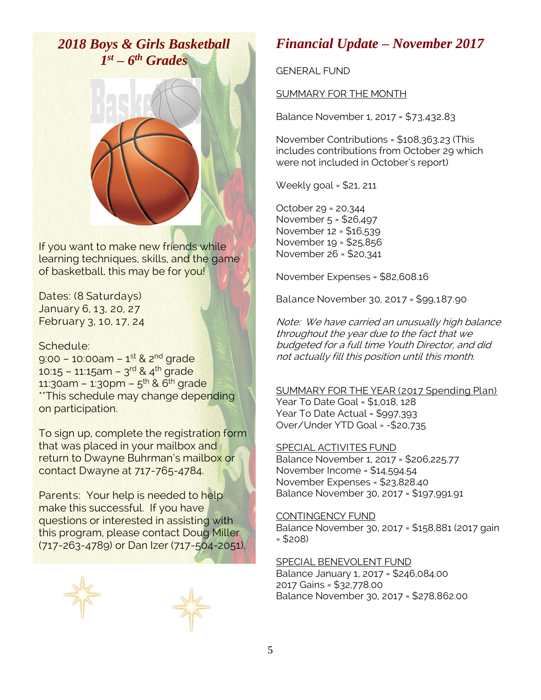*2018 Boys & Girls Basketball 1 st – 6 th Grades*



If you want to make new friends while learning techniques, skills, and the game of basketball, this may be for you!

Dates: (8 Saturdays) January 6, 13, 20, 27 February 3, 10, 17, 24

### Schedule:

9:00 – 10:00am – 1<sup>st</sup> & 2<sup>nd</sup> grade 10:15 – 11:15am – 3<sup>rd</sup> & 4<sup>th</sup> grade 11:30am – 1:30pm – 5<sup>th</sup> & 6<sup>th</sup> grade \*\*This schedule may change depending on participation.

To sign up, complete the registration form that was placed in your mailbox and return to Dwayne Buhrman's mailbox or contact Dwayne at 717-765-4784.

Parents: Your help is needed to help make this successful. If you have questions or interested in assisting with this program, please contact Doug Miller (717-263-4789) or Dan Izer (717-504-2051).



### *Financial Update – November 2017*

GENERAL FUND

#### SUMMARY FOR THE MONTH

Balance November 1, 2017 = \$73,432.83

November Contributions = \$108,363.23 (This includes contributions from October 29 which were not included in October's report)

Weekly goal = \$21, 211

October 29 = 20,344 November 5 = \$26,497 November 12 = \$16,539 November 19 = \$25,856 November 26 = \$20,341

November Expenses = \$82,608.16

Balance November 30, 2017 = \$99,187.90

Note: We have carried an unusually high balance throughout the year due to the fact that we budgeted for a full time Youth Director, and did not actually fill this position until this month.

SUMMARY FOR THE YEAR (2017 Spending Plan) Year To Date Goal = \$1,018, 128 Year To Date Actual = \$997,393 Over/Under YTD Goal = -\$20,735

### SPECIAL ACTIVITES FUND

Balance November 1, 2017 = \$206,225.77 November Income = \$14,594.54 November Expenses = \$23,828.40 Balance November 30, 2017 = \$197,991.91

#### CONTINGENCY FUND

Balance November 30, 2017 = \$158,881 (2017 gain = \$208)

#### SPECIAL BENEVOLENT FUND

Balance January 1, 2017 = \$246,084.00 2017 Gains = \$32,778.00 Balance November 30, 2017 = \$278,862.00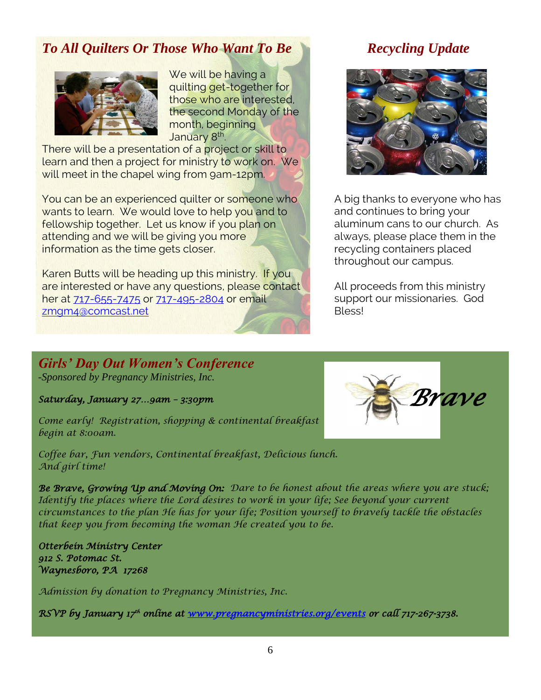# *To All Quilters Or Those Who Want To Be*



We will be having a quilting get-together for those who are interested, the second Monday of the month, beginning January 8<sup>th</sup>. .

There will be a presentation of a project or skill to learn and then a project for ministry to work on. We will meet in the chapel wing from 9am-12pm.

You can be an experienced quilter or someone who wants to learn. We would love to help you and to fellowship together. Let us know if you plan on attending and we will be giving you more information as the time gets closer.

Karen Butts will be heading up this ministry. If you are interested or have any questions, please contact her at [717-655-7475](tel:(717)%20655-7475) or [717-495-2804](tel:(717)%20495-2804) or email [zmgm4@comcast.net](mailto:zmgm4@comcast.net)

# *Recycling Update*



A big thanks to everyone who has and continues to bring your aluminum cans to our church. As always, please place them in the recycling containers placed throughout our campus.

All proceeds from this ministry support our missionaries. God Bless!

### *Girls' Day Out Women's Conference -Sponsored by Pregnancy Ministries, Inc.*

*Saturday, January 27…9am – 3:30pm* 

*Come early! Registration, shopping & continental breakfast begin at 8:00am.*

*Coffee bar, Fun vendors, Continental breakfast, Delicious lunch. And girl time!*

*Be Brave, Growing Up and Moving On: Dare to be honest about the areas where you are stuck; Identify the places where the Lord desires to work in your life; See beyond your current circumstances to the plan He has for your life; Position yourself to bravely tackle the obstacles that keep you from becoming the woman He created you to be.*

*Otterbein Ministry Center 912 S. Potomac St. Waynesboro, PA 17268* 

*Admission by donation to Pregnancy Ministries, Inc.*

*RSVP by January 17th online at [www.pregnancyministries.org/events](http://www.pregnancyministries.org/events) or call 717-267-3738.* 

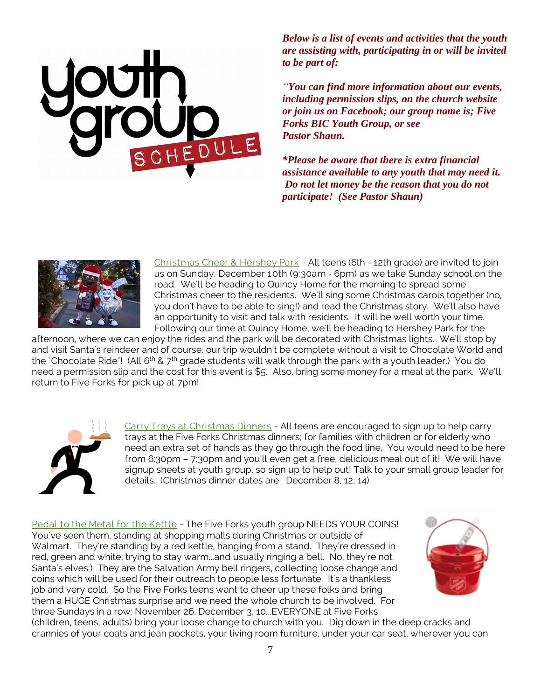

*Below is a list of events and activities that the youth are assisting with, participating in or will be invited to be part of:*

*"You can find more information about our events, including permission slips, on the church website or join us on Facebook; our group name is; Five Forks BIC Youth Group, or see Pastor Shaun.*

*\*Please be aware that there is extra financial assistance available to any youth that may need it. Do not let money be the reason that you do not participate! (See Pastor Shaun)*



Christmas Cheer & Hershey Park - All teens (6th - 12th grade) are invited to join us on Sunday, December 10th (9:30am - 6pm) as we take Sunday school on the road. We'll be heading to Quincy Home for the morning to spread some Christmas cheer to the residents. We'll sing some Christmas carols together (no, you don't have to be able to sing!) and read the Christmas story. We'll also have an opportunity to visit and talk with residents. It will be well worth your time. Following our time at Quincy Home, we'll be heading to Hershey Park for the

afternoon, where we can enjoy the rides and the park will be decorated with Christmas lights. We'll stop by and visit Santa's reindeer and of course, our trip wouldn't be complete without a visit to Chocolate World and the "Chocolate Ride"! (All 6<sup>th</sup> & 7<sup>th</sup> grade students will walk through the park with a youth leader.) You do need a permission slip and the cost for this event is \$5. Also, bring some money for a meal at the park. We'll return to Five Forks for pick up at 7pm!



Carry Trays at Christmas Dinners - All teens are encouraged to sign up to help carry trays at the Five Forks Christmas dinners; for families with children or for elderly who need an extra set of hands as they go through the food line. You would need to be here from 6:30pm – 7:30pm and you'll even get a free, delicious meal out of it! We will have signup sheets at youth group, so sign up to help out! Talk to your small group leader for details. (Christmas dinner dates are: December 8, 12, 14).

Pedal to the Metal for the Kettle - The Five Forks youth group NEEDS YOUR COINS! You've seen them, standing at shopping malls during Christmas or outside of Walmart. They're standing by a red kettle, hanging from a stand. They're dressed in red, green and white, trying to stay warm...and usually ringing a bell. No, they're not Santa's elves:) They are the Salvation Army bell ringers, collecting loose change and coins which will be used for their outreach to people less fortunate. It's a thankless job and very cold. So the Five Forks teens want to cheer up these folks and bring them a HUGE Christmas surprise and we need the whole church to be involved. For three Sundays in a row: November 26, December 3, 10...EVERYONE at Five Forks



(children, teens, adults) bring your loose change to church with you. Dig down in the deep cracks and crannies of your coats and jean pockets, your living room furniture, under your car seat, wherever you can